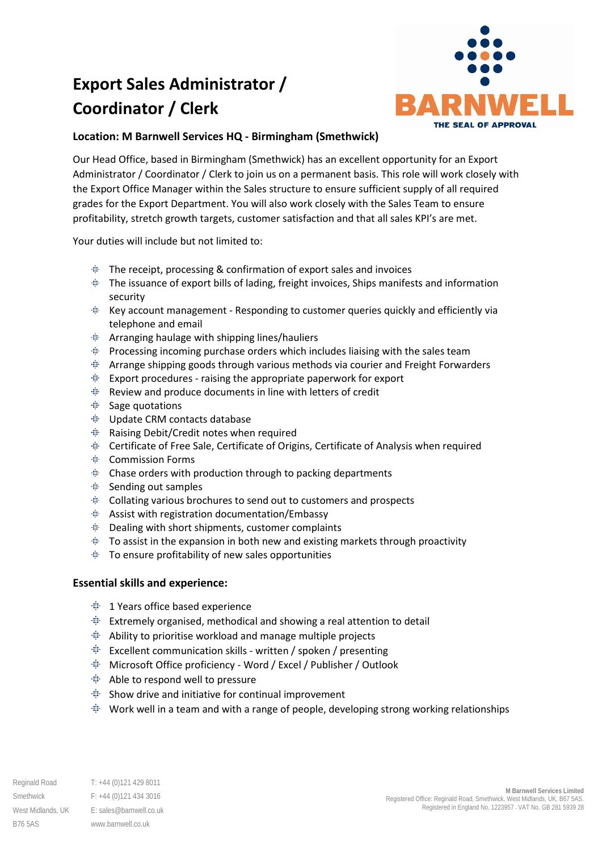# **Export Sales Administrator / Coordinator / Clerk**



## **Location: M Barnwell Services HQ - Birmingham (Smethwick)**

Our Head Office, based in Birmingham (Smethwick) has an excellent opportunity for an Export Administrator / Coordinator / Clerk to join us on a permanent basis. This role will work closely with the Export Office Manager within the Sales structure to ensure sufficient supply of all required grades for the Export Department. You will also work closely with the Sales Team to ensure profitability, stretch growth targets, customer satisfaction and that all sales KPI's are met.

Your duties will include but not limited to:

- $\#$  The receipt, processing & confirmation of export sales and invoices
- $\ddot{\textbf{v}}$  The issuance of export bills of lading, freight invoices, Ships manifests and information security
- Key account management Responding to customer queries quickly and efficiently via telephone and email
- $#$  Arranging haulage with shipping lines/hauliers
- $\triangleq$  Processing incoming purchase orders which includes liaising with the sales team
- Arrange shipping goods through various methods via courier and Freight Forwarders
- $\#$  Export procedures raising the appropriate paperwork for export
- 重。 Review and produce documents in line with letters of credit
- $\triangleq$  Sage quotations
- Update CRM contacts database
- Raising Debit/Credit notes when required
- Certificate of Free Sale, Certificate of Origins, Certificate of Analysis when required
- Commission Forms
- Chase orders with production through to packing departments
- $≢$  Sending out samples
- $\triangleq$  Collating various brochures to send out to customers and prospects
- $\triangleq$  Assist with registration documentation/Embassy
- $\triangleq$  Dealing with short shipments, customer complaints
- $\pm$  To assist in the expansion in both new and existing markets through proactivity
- $\ddot{=}$  To ensure profitability of new sales opportunities

### **Essential skills and experience:**

- $# 1$  Years office based experience
- Extremely organised, methodical and showing a real attention to detail
- $\ddot{=}$  Ability to prioritise workload and manage multiple projects
- $\#$  Excellent communication skills written / spoken / presenting
- Microsoft Office proficiency Word / Excel / Publisher / Outlook
- Able to respond well to pressure
- $\#$  Show drive and initiative for continual improvement
- **Work well in a team and with a range of people, developing strong working relationships**